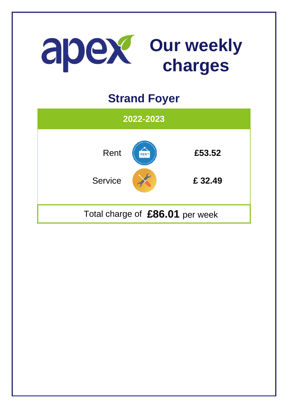

## **Strand Foyer**

| 2022-2023                       |      |                   |
|---------------------------------|------|-------------------|
| Rent<br><b>Service</b>          | RENT | £53.52<br>£ 32.49 |
| Total charge of £86.01 per week |      |                   |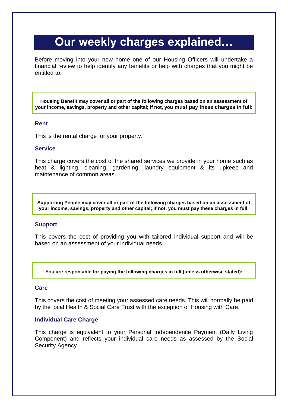# **Our weekly charges explained…**

Before moving into your new home one of our Housing Officers will undertake a financial review to help identify any benefits or help with charges that you might be entitled to.

**Housing Benefit may cover all or part of the following charges based on an assessment of your income, savings, property and other capital; if not, you must pay these charges in full:**

### **Rent**

This is the rental charge for your property.

### **Service**

This charge covers the cost of the shared services we provide in your home such as heat & lighting, cleaning, gardening, laundry equipment & its upkeep and maintenance of common areas.

**Supporting People may cover all or part of the following charges based on an assessment of your income, savings, property and other capital; if not, you must pay these charges in full:**

### **Support**

This covers the cost of providing you with tailored individual support and will be based on an assessment of your individual needs.

**You are responsible for paying the following charges in full (unless otherwise stated):**

### **Care**

This covers the cost of meeting your assessed care needs. This will normally be paid by the local Health & Social Care Trust with the exception of Housing with Care.

### **Individual Care Charge**

This charge is equivalent to your Personal Independence Payment (Daily Living Component) and reflects your individual care needs as assessed by the Social Security Agency.